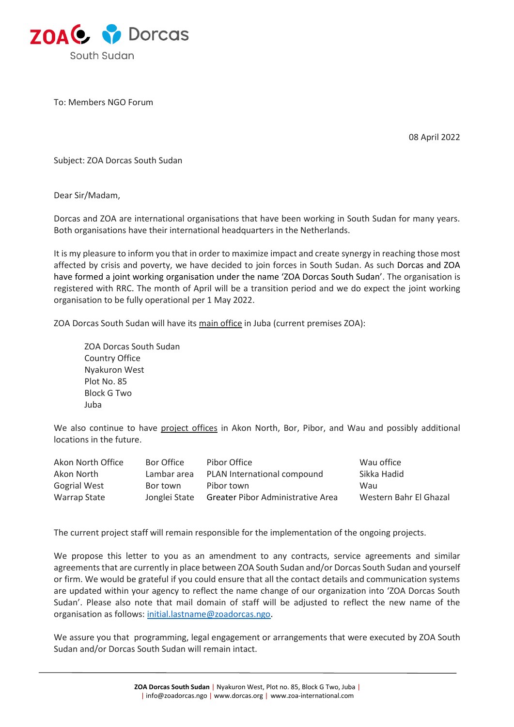

To: Members NGO Forum

08 April 2022

Subject: ZOA Dorcas South Sudan

Dear Sir/Madam,

Dorcas and ZOA are international organisations that have been working in South Sudan for many years. Both organisations have their international headquarters in the Netherlands.

It is my pleasure to inform you that in order to maximize impact and create synergy in reaching those most affected by crisis and poverty, we have decided to join forces in South Sudan. As such Dorcas and ZOA have formed a joint working organisation under the name 'ZOA Dorcas South Sudan'. The organisation is registered with RRC. The month of April will be a transition period and we do expect the joint working organisation to be fully operational per 1 May 2022.

ZOA Dorcas South Sudan will have its main office in Juba (current premises ZOA):

ZOA Dorcas South Sudan Country Office Nyakuron West Plot No. 85 Block G Two Juba

We also continue to have project offices in Akon North, Bor, Pibor, and Wau and possibly additional locations in the future.

| Akon North Office   | Bor Office    | Pibor Office                             | Wau office             |
|---------------------|---------------|------------------------------------------|------------------------|
| Akon North          | Lambar area   | PLAN International compound              | Sikka Hadid            |
| <b>Gogrial West</b> | Bor town      | Pibor town                               | Wau                    |
| Warrap State        | Jonglei State | <b>Greater Pibor Administrative Area</b> | Western Bahr El Ghazal |

The current project staff will remain responsible for the implementation of the ongoing projects.

We propose this letter to you as an amendment to any contracts, service agreements and similar agreements that are currently in place between ZOA South Sudan and/or Dorcas South Sudan and yourself or firm. We would be grateful if you could ensure that all the contact details and communication systems are updated within your agency to reflect the name change of our organization into 'ZOA Dorcas South Sudan'. Please also note that mail domain of staff will be adjusted to reflect the new name of the organisation as follows: [initial.lastname@zoadorcas.ngo.](mailto:initial.lastname@zoadorcas.ngo)

We assure you that programming, legal engagement or arrangements that were executed by ZOA South Sudan and/or Dorcas South Sudan will remain intact.